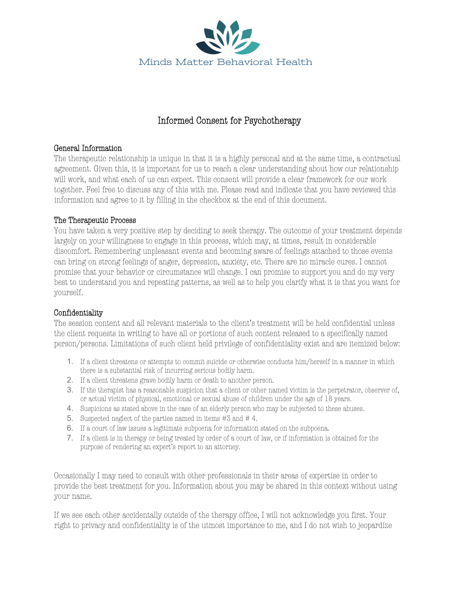

## Informed Consent for Psychotherapy

## General Information

The therapeutic relationship is unique in that it is a highly personal and at the same time, a contractual agreement. Given this, it is important for us to reach a clear understanding about how our relationship will work, and what each of us can expect. This consent will provide a clear framework for our work together. Feel free to discuss any of this with me. Please read and indicate that you have reviewed this information and agree to it by filling in the checkbox at the end of this document.

## The Therapeutic Process

You have taken a very positive step by deciding to seek therapy. The outcome of your treatment depends largely on your willingness to engage in this process, which may, at times, result in considerable discomfort. Remembering unpleasant events and becoming aware of feelings attached to those events can bring on strong feelings of anger, depression, anxiety, etc. There are no miracle cures. I cannot promise that your behavior or circumstance will change. I can promise to support you and do my very best to understand you and repeating patterns, as well as to help you clarify what it is that you want for yourself.

## Confidentiality

The session content and all relevant materials to the client's treatment will be held confidential unless the client requests in writing to have all or portions of such content released to a specifically named person/persons. Limitations of such client held privilege of confidentiality exist and are itemized below:

- 1. If a client threatens or attempts to commit suicide or otherwise conducts him/herself in a manner in which there is a substantial risk of incurring serious bodily harm.
- 2. If a client threatens grave bodily harm or death to another person.
- 3. If the therapist has a reasonable suspicion that a client or other named victim is the perpetrator, observer of, or actual victim of physical, emotional or sexual abuse of children under the age of 18 years.
- 4. Suspicions as stated above in the case of an elderly person who may be subjected to these abuses.
- 5. Suspected neglect of the parties named in items #3 and # 4.
- 6. If a court of law issues a legitimate subpoena for information stated on the subpoena.
- 7. If a client is in therapy or being treated by order of a court of law, or if information is obtained for the purpose of rendering an expert's report to an attorney.

Occasionally I may need to consult with other professionals in their areas of expertise in order to provide the best treatment for you. Information about you may be shared in this context without using your name.

If we see each other accidentally outside of the therapy office, I will not acknowledge you first. Your right to privacy and confidentiality is of the utmost importance to me, and I do not wish to jeopardize